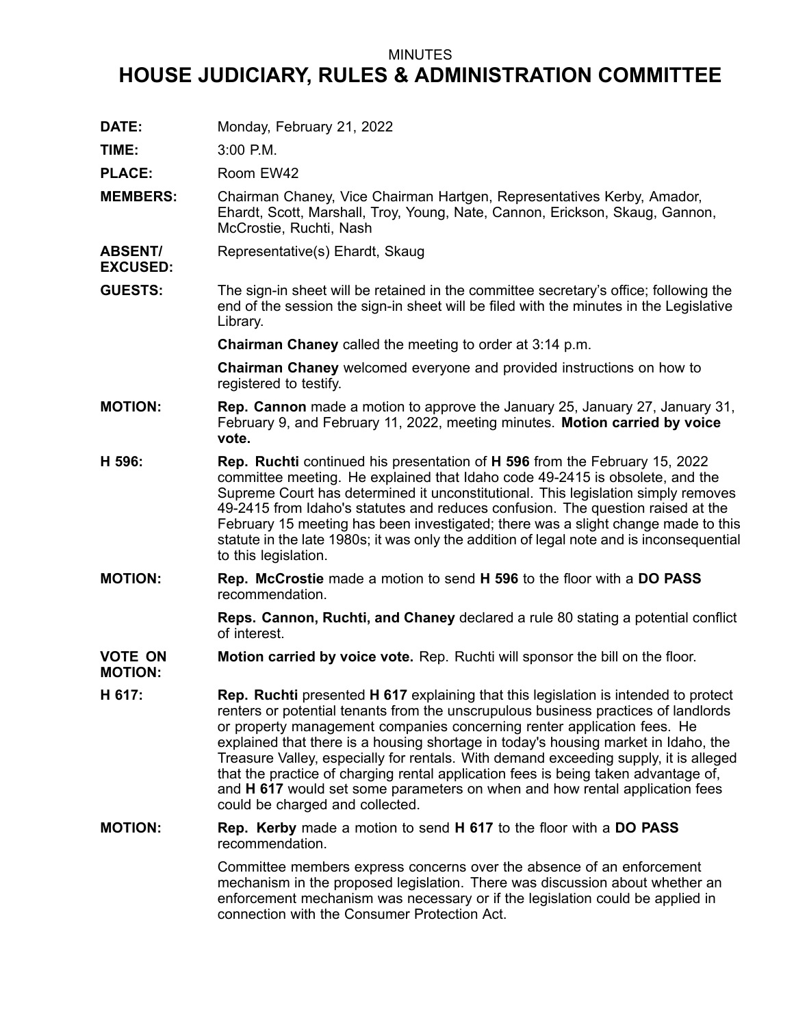## MINUTES

## **HOUSE JUDICIARY, RULES & ADMINISTRATION COMMITTEE**

**DATE:** Monday, February 21, 2022

**TIME:** 3:00 P.M.

**EXCUSED:**

PLACE: Room EW42

- **MEMBERS:** Chairman Chaney, Vice Chairman Hartgen, Representatives Kerby, Amador, Ehardt, Scott, Marshall, Troy, Young, Nate, Cannon, Erickson, Skaug, Gannon, McCrostie, Ruchti, Nash
- **ABSENT/** Representative(s) Ehardt, Skaug
- **GUESTS:** The sign-in sheet will be retained in the committee secretary's office; following the end of the session the sign-in sheet will be filed with the minutes in the Legislative Library.

**Chairman Chaney** called the meeting to order at 3:14 p.m.

**Chairman Chaney** welcomed everyone and provided instructions on how to registered to testify.

- **MOTION: Rep. Cannon** made <sup>a</sup> motion to approve the January 25, January 27, January 31, February 9, and February 11, 2022, meeting minutes. **Motion carried by voice vote.**
- **H 596: Rep. Ruchti** continued his presentation of **H 596** from the February 15, 2022 committee meeting. He explained that Idaho code 49-2415 is obsolete, and the Supreme Court has determined it unconstitutional. This legislation simply removes 49-2415 from Idaho's statutes and reduces confusion. The question raised at the February 15 meeting has been investigated; there was <sup>a</sup> slight change made to this statute in the late 1980s; it was only the addition of legal note and is inconsequential to this legislation.
- **MOTION: Rep. McCrostie** made <sup>a</sup> motion to send **H 596** to the floor with <sup>a</sup> **DO PASS** recommendation.

**Reps. Cannon, Ruchti, and Chaney** declared <sup>a</sup> rule 80 stating <sup>a</sup> potential conflict of interest.

**VOTE ON Motion carried by voice vote.** Rep. Ruchti will sponsor the bill on the floor.

- **MOTION:**
- **H 617: Rep. Ruchti** presented **H 617** explaining that this legislation is intended to protect renters or potential tenants from the unscrupulous business practices of landlords or property management companies concerning renter application fees. He explained that there is <sup>a</sup> housing shortage in today's housing market in Idaho, the Treasure Valley, especially for rentals. With demand exceeding supply, it is alleged that the practice of charging rental application fees is being taken advantage of, and **H 617** would set some parameters on when and how rental application fees could be charged and collected.
- **MOTION: Rep. Kerby** made <sup>a</sup> motion to send **H 617** to the floor with <sup>a</sup> **DO PASS** recommendation.

Committee members express concerns over the absence of an enforcement mechanism in the proposed legislation. There was discussion about whether an enforcement mechanism was necessary or if the legislation could be applied in connection with the Consumer Protection Act.